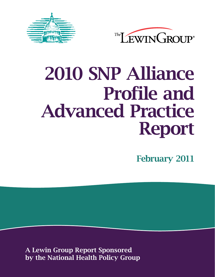



# 2010 SNP Alliance Profile and Advanced Practice Report

February 2011

A Lewin Group Report Sponsored by the National Health Policy Group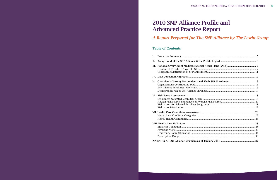# **2010 SNP Alliance Profile and Advanced Practice Report**

# **Table of Contents**

| I.  |  |
|-----|--|
| II. |  |
| Ш.  |  |
|     |  |
|     |  |
|     |  |
| V.  |  |
|     |  |
|     |  |
|     |  |
|     |  |
|     |  |
|     |  |
|     |  |
|     |  |
|     |  |
|     |  |
|     |  |
|     |  |
|     |  |
|     |  |
|     |  |
|     |  |
|     |  |

- 
- 
- 
- 
- 
- 

| I.  |  |
|-----|--|
| II. |  |
|     |  |
|     |  |
|     |  |
| ∕.  |  |
|     |  |
|     |  |
|     |  |
|     |  |
|     |  |
|     |  |
|     |  |
|     |  |
|     |  |
|     |  |
|     |  |
|     |  |
|     |  |
|     |  |
|     |  |
|     |  |
|     |  |

A Report Prepared for The SNP Alliance by The Lewin Group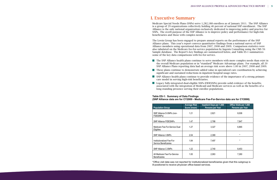**The SNP Alliance health plans continue to serve members with more complex needs than exist in** the overall Medicare population or in "standard" Medicare Advantage plans. For example, all 20 SNP Alliance Plans reporting data had an average risk score above 1.00 in 2007, 2008 and 2009. **These plans continue to demonstrate added value in specialized care coordination by achieving** 

# I. Executive Summary

Medicare Special Needs Plans (SNPs) serve 1,282,188 enrollees as of January 2011. The SNP Alliance is a group of 29 organizations collectively holding 46 percent of national SNP enrollment. The SNP Alliance is the only national organization exclusively dedicated to improving policy and practice for SNPs. The overll purpose of the SNP Alliance is to improve policy and performance for high-risk beneficiaries and those with complex needs.

The Lewin Group has been engaged to prepare annual reports on the performance of the SNP Alliance plans. This year's report conveys quantitative findings from a national survey of SNP Alliance members using operational data from 2007, 2008 and 2009. Comparison statistics were also tabulated on the Medicare fee-for-service population by Ingenix Consulting using the CMS 5% Sample database. The Report's key findings are summarized below, and Table ES-1 summarizes some of the key data comparisons with fee-for-service.

**Legacy fully-integrated dual-eligible SNPs (FIDESNPs) provide solid evidence of the benefits** associated with the integration of Medicaid and Medicare services as well as the benefits of a

- 
- significant and sustained reductions in inpatient hospital usage rates.
- SNP Alliance health plans continue to provide evidence of the importance of a strong primary care model in serving high-risk beneficiaries.
- long-standing presence serving their enrollee populations.

#### **Table ES-1: Summary of Data Findings (SNP Alliance data are for CY2009 - Medicare Fee-For-Service data are for CY2008)**

\*Office visit data was not reported for institutionalized beneficiaries given that this subgroup is ill-positioned to receive physician office-based services.

| <b>Population Group</b>                              | <b>Average Risk</b><br>Score (mean) | <b>Inpatient Days per 1,000</b><br>Persons per Year | <b>Office Visits per 1,000</b><br>Persons per Year |
|------------------------------------------------------|-------------------------------------|-----------------------------------------------------|----------------------------------------------------|
| SNP Alliance D-SNPs (non-<br>FIDESNPs)               | 1.21                                | 2,821                                               | 8,008                                              |
| <b>SNP Alliance FIDESNPs</b>                         | 1.47                                | 2,788                                               | 7,847                                              |
| Medicare Fee-For-Service Dual<br>Eligibles           | 1.27                                | 3,327                                               | 6,865                                              |
| <b>SNP Alliance I-SNPs</b>                           | 2.04                                | 2,369                                               | $\star$                                            |
| Institutionalized Fee-For-<br>Service Beneficiaries  | 1.84                                | 7,497                                               | $\star$                                            |
| <b>SNP Alliance C-SNPs</b>                           | 1.22                                | 2,740                                               | 8,453                                              |
| All Medicare Fee-For-Service<br><b>Beneficiaries</b> | 1.00                                | 2,063                                               | 7,260                                              |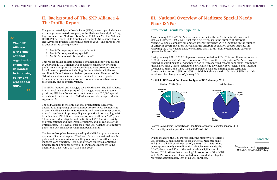Footnote *\_\_\_\_\_\_\_\_\_\_\_\_\_\_\_\_\_\_\_*

*<sup>1</sup>* The website address is: www.cms.gov/ MCRAdvPartDEnrolData/SNP/list.asp.

# II. Background of The SNP Alliance & The Profile Report

Congress created Special Needs Plans (SNPs), a new type of Medicare Advantage coordinated care plan, in the Medicare Prescription Drug, Improvement, and Modernization Act of 2003 (MMA). The National Health Policy Group (NHPG) published the first SNP Alliance Profile and Advanced Practice Report in December 2008. The purpose was to answer three basic questions:

- 1. Are SNPs targeting a needy population?
- 2. Are SNPs doing anything special?
- 3. Are SNPs demonstrating added value?

This report builds on data findings contained in reports published in 2009 and 2010. Findings will be used to constructively shape public policy to optimize these coordinated care programs' success for all involved parties — including the beneficiaries eligible to enroll in SNPs and state and federal governments. Members of the SNP Alliance also use information contained in these reports to benchmark performance and refine care interventions to advance their quality and cost performance.

As of January 2011, 451 SNPs were under contract with the Centers for Medicare and Medicaid Services (CMS). Note that this figure represents the number of different "plans." A single company can operate several "different" SNPs depending on the number of different geographic areas served and the different population groups targeted. In or different geographic areas served and the different population groups targeted. In<br>reviewing the CMS website data, we estimate that 127 different organizations currently operate Medicare SNPs.<br>
Soperate Medicare SNPs.

The NHPG founded and manages the SNP Alliance. The SNP Alliance is a national leadership group of 29 managed care organizations, providing SNP benefits and services to more than 650,000 special needs beneficiaries. A list of SNP Alliance members is provided in Appendix A.

During January 2011, 1,282,188 persons were enrolled in SNPs. This enrollment represents <br>2.8% of the national Medicare population. There are three estaggries of SNPs at these 2.8% of the nationwide Medicare population. There are three categories of SNPs — those focused on enrolling and serving beneficiaries with specified chronic conditions (commonly known as C-SNPs), those focused on beneficiaries dually eligible for Medicare and Medicaid coverage (D-SNPs), and those focused on persons who are nursing home certifiable (known as institutional SNPs or I-SNPs). Exhibit 1 shows the distribution of SNPs and SNP enrollment by plan type as of January 2011.

The SNP Alliance is the only national organization exclusively dedicated to improving policy and practice for SNPs. Membership in the SNP Alliance is by invitation only, and members must commit to work together to improve policy and practice in serving high-risk beneficiaries. SNP Alliance members represent all three SNP types (chronic care, dual eligible, and institutional SNPs), a wide variety of organizational and ownership structures, and all regions of the United States. The overall purpose of the SNP Alliance is to improve policy and performance for high-risk beneficiaries.

Source: Derived from Special Needs Plan Comprehensive Report for January 2011. Each monthly report is published on the CMS website<sup>1</sup>.

By any measure, the D-SNPs represent the majority of Medicare by any measure, the D-5N1's represent the majority of Medicare<br>SNP activity. D-SNPs accounted for 66% of all Medicare SNPs and 81% of all SNP enrollment as of January 2011. With there being approximately 8.9 million dual eligibles nationwide, the  $1_{\text{The website}}$  address is: D-SNP plans served 12% of the nation's dual eligibles as of MCRAdvPartDEnrolData/SNF January 2011. Given that a meaningful proportion of the C-SNP plans served to the D-SNP plans served to a million dual eligibles national eligibles national eligibles national eligibles national eligibles national eligible and I-SNP enrollees are also enrolled in Medicaid, dual eligibles enrors are the nation of the nation of the national meaningful proportional eligibles as of  $\frac{1}{2}$  represent approximately 90% of all SNP enrollees.

The Lewin Group has been engaged by the NHPG to prepare annual updates of its initial report. The Lewin Group is a national health policy and human services consulting research firm with extensive managed care expertise. This year's report conveys quantitative findings from a national survey of SNP Alliance members using operational data from 2007, 2008 and 2009.

# **III. National Overview of Medicare Special Needs** Plans (SNPs). Note that the number of different that the number of different  $\mathbf{C}$ company can operate several "different" SNPs depending on the number of different  $\mathcal{L}$

## Enrollment Trends by Type of SNP  $\sum_{i=1}^{n}$  different that 127 different organizations currently operators currently operations currently operations  $\frac{1}{n}$

#### **Exhibit 1. SNPs and Enrollment by Type of SNP, January 2011**



1 The website address is: www.cms.gov/MCRAdvPartDEnrolData/SNP/list.asp





The SNP Alliance

is the only

national

organization

exclusively dedicated

to improving

policy and practice for

SNPs.

"

"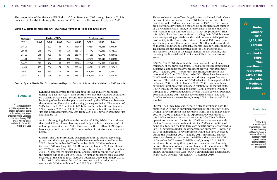The progression of the Medicare SNP "industry" from December 2007 through January 2011 is presented in Exhibit 2, showing the number of SNPs and overall enrollment by type of SNP.

#### **Exhibit 2. National Medicare SNP Overview: Number of Plans and Enrollment**

**C-SNPs:** The C-SNPs ironically experienced both the largest percentage growth and the largest percentage decline in enrollment since December growth and the rangely percentage areams in the station since B central<br>2007. From December 2007 to December 2009, C-SNP enrollment increased 60% reaching 308,631. However, the January 2011 enrollment of 157,774 is only 51% of that level. Roughly one-fourth of the December 2009 C-SNP members disenrolled in January 2010 in conjunction with the market exit of at least 59 C-SNPs.<sup>2</sup> A similar but larger-scale dynamic occurred at the end of 2010. Between December 2010 and January 2011, at least 61 C-SNPs exited the market resulting in a 31% reduction in nationwide C-SNP enrollment from 227,271 to 157,774.

**I-SNPs:** The I-SNPs have experienced a steady decline in both the number of SNPs and in enrollment throughout the past few years. Overall I-SNP enrollment has decreased from 145,583 in December 2007 to 87,702 in January 2011. Approximately two-thirds of this I-SNP enrollment decrease is related to SCAN Health Plan's operations in southern California. SCAN has an agreement with CMS to freeze all new enrollment into its I-SNP as a condition of being able to retain the long-term care benefit previously offered to SCAN beneficiaries under its demonstration authority. However, if SCAN is disregarded, I-SNP enrollment would still have decreased during the December 2007 – January 2011 time frame. Market exits have also occurred among the I-SNPs – there were 84 I-SNPs in December 2007 versus 61 I-SNPs as of January 2011. I-SNP enrollment is declining throughout each calendar year (not only between December of one year and January of the next when SNP market exits take effect). This is largely explained by the freeze on new enrollments at SCAN. SCAN's enrollment has decreased by nearly 8,000 persons from January – December 2010.

This enrollment drop-off was largely driven by United HealthCare's decision to discontinue all of its C-SNP business, as United held 34% of overall C-SNP members at the end of CY2010. Two issues are believed to have played a major role in the significant number of C-SNP market exits. First, it is reasonable to assume that SNPs will typically retain contracts with CMS that are profitable. Thus, it is highly likely that most entities curtailing their C-SNP business were not operating profitably and/or did not see a viable path to profitability in the foreseeable future.<sup>3</sup> Second, CMS issued more specific regulations that required some SNPs that address multiple co-morbid conditions to establish separate SNPs for each condition. This increased the administrative cost for C-SNP operations and reduced the size of the target market for SNP benefits, thus reducing the financial viability of some SNPs in certain service areas.

**During** January 2011, 1,282,188 persons were enrolled in SNPs. This enrollment represents 2.8% of the nationwide Medicare population. "

Source: Special Needs Plan Comprehensive Reports. Each monthly report is published on CMS website. Source: Special Needs Plan Comprehensive Reports. Each monthly report is published on CMS website.

D-SNPs: The D-SNPs have had the most favorable enrollment trajectory of the three SNP types. D-SNPs collectively experienced substantial and fairly steady enrollment growth from December 2007 – January 2011. Across this time frame, enrollment has increased 36% from 760,561 to 1,036,712. There have been more D-SNP market exits than new entrants during the past few years, however. The total number of D-SNPs declined from a peak of 440 in January 2008 to 298 in January 2011. While there have been enrollment declines every January in relation to the market exits, D-SNP enrollment increased by about 10,000 persons per month throughout CY2010 and declined by only 10,000 between December 2010 and January 2011 despite several market exits. The total D-SNP enrollment increase from January 2009 to January of 2011 was 14%.

enrollment has remained fairly stable in the vicinity of 1.3 million persons since late 2009 and January 2010. *2* The reduction of 59 C-SNPs represents the net change between all market exits and any new market entrants between December This is why the phrase "market exit of at least 51 C-SNPs" is used.

**Exhibit 2** demonstrates the uneven path the SNP industry has taken EXAMPLE DURING THE MELTA FRAME OF THE STATE THE STATE IN THE STATE STATES.<br>
SNPS contract to serve the Medicare population **FOOLNOLES** and a calendar year basis. Several SNPs have exited the market at the beginning on a calendar year basis. Several SNPs have exited the market at the beginning of each calendar year, as evidenced by the differences between the more recent December and ensuing January statistics. The number of he reduction of 59 SNPs decreased 8% from 762 to 698 between December '08 and January represents the net  $\hspace{0.5cm}$  '09, decreased 20% from 699 to 561 between December '09 and January '10, and decreased further by 20% from 562 to 451 between December '10 and January **11.** The number of SNPs and January **11.** The number of SNPs, and SNPs, **Exhibit 2** and SNPs, **Exhibit 2** and SNPs, **Exhibit 2** and SNPs shows that to show that to show that to show that to show that to show t

is why the phrase Amidst this ongoing decline in the number of SNPs, Exhibit 2 also shows that total SNP enrollment has remained fairly stable in the vicinity of  $1.3$ million persons since late 2008. However, the three different SNP types have experienced markedly different enrollment trajectories as discussed below. percentage decline in enrollment since December 2007. From December 2007 to December 2007. From December 2007 to December 2007 to December 2007 to December 2007 to December 2007 to December 2007 to December 2007 to Decembe

"

| Month and |              | <b>Number of SNPs</b> |              |       | <b>Enrollment Level</b> |              |              |           |
|-----------|--------------|-----------------------|--------------|-------|-------------------------|--------------|--------------|-----------|
| Year      | <b>C-SNP</b> | <b>D-SNP</b>          | <b>I-SNP</b> | Total | <b>C-SNP</b>            | <b>D-SNP</b> | <b>I-SNP</b> | Total     |
| Dec-07    | 73           | 320                   | 84           | 477   | 192,610                 | 760,561      | 145,583      | 1,098,754 |
| Jan-08    | 241          | 440                   | 89           | 770   | 188,732                 | 771,142      | 142,859      | 1,102,733 |
| Dec-08    | 241          | 436                   | 85           | 762   | 283,406                 | 911,950      | 127,776      | 1,323,132 |
| Jan-09    | 209          | 406                   | 83           | 698   | 267,881                 | 907,493      | 125,549      | 1,300,923 |
| Dec-09    | 212          | 404                   | 83           | 699   | 308,631                 | 972,547      | 114,010      | 1,395,188 |
| $Jan-10$  | 153          | 334                   | 74           | 561   | 235,180                 | 930,871      | 101,368      | 1,267,419 |
| Dec-10    | 153          | 335                   | 74           | 562   | 227,271                 | 1,036,319    | 95,137       | 1,358,727 |
| Jan-11    | 92           | 298                   | 61           | 451   | 157,774                 | 1,036,712    | 87,702       | 1,282,188 |

entrants between December 2009 and January 2010. This is why the phrase "market exit of at least 51 C-

Footnotes *\_\_\_\_\_\_\_\_\_\_\_\_\_\_\_\_\_\_\_*

### Footnotes *\_\_\_\_\_\_\_\_\_\_\_\_\_\_\_\_\_\_\_*

*3* Many SNPs are not-for-profit organizations. Thus, the term "operating profitably" is meant to denote a financially successful/viable operation rather than literal profits for these non-profit organizations.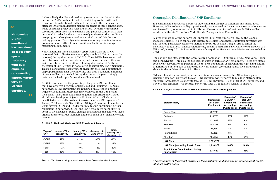Notwithstanding these challenges, apart from SCAN the I-SNPs increased their collective membership by roughly 2,000 persons (a 5% increase) during the course of CY2010. Thus, I-SNPs have collectively been able to attract new members beyond the rate at which they are losing members due to death or voluntary disenrollment (with the exception of SCAN, which is not allowed to enroll new I-SNP members). This is a considerable achievement given that the I-SNP population is  $\Box$  disproportionately near the end of life and thus a substantial number  $\mathbf{E}$  of new enrollees are needed during the course of a year to simply  $\mathbf{p}$  maintain the health plan's overall enrollment level.

**Exhibit 3** summarizes the percentage changes in SNP enrollment that have occurred between January 2008 and January 2011. While nationwide D-SNP enrollment has remained on a steadily upwards **Exhibit 3** summarizes the percentage changes have occurred in the C-SNPs and the percentage changes in SNPs and  $\mathbb{E}$  $\blacksquare$  the I-SNPs. The C-SNPs and I-SNPs together comprised only 19% of  $\blacksquare$ all SNP membership as of January 2011 and 0.5% of all Medicare an styr membership as of January 2011 and 0.3% of an Medicare<br>beneficiaries. Overall enrollment across these two SNP types as of In the C-SNP types as of the C-SNP types as of January 2011 was only 58% of these SNP types' peak enrollment levels. fundary 2011 was only 58% of these styra types peak enrollment revels.<br>While several I-SNPs and C-SNPs continue to gain enrollment, further reductions in nationwide C-SNP and I-SNP enrollment seem likely to occur in the absence of policy changes that address the ability of these organizations to attract members and serve them in a financially viable manner. organizations to attract members and server them in a financial viable manner.

It also is likely that Federal marketing rules have contributed to the decline in I-SNP enrollment levels by restricting contact with, and education of, institutionalized beneficiaries and other persons who often are involved in decision making on behalf of these beneficiaries. While consumer protection rules are critical, persons with complex care needs often need more extensive and personal contact with plan personnel in order for them to adequately understand the coordinated care program. Caregivers are often a critical part of this decision making process. These dynamics make marketing to an institutional population more difficult under traditional Medicare Advantage marketing requirements.

Source: Tabulations using Special Needs Plan Comprehensive Reports

# Geographic Distribution of SNP Enrollment

SNP enrollment is dispersed across 42 states plus the District of Columbia and Puerto Rico. However, SNP enrollment is disproportionately concentrated in the nation's most populous states and Puerto Rico, as summarized in Exhibit 4. Almost two-thirds of nationwide SNP enrollees reside in California, Texas, New York, Florida, Pennsylvania or Puerto Rico.

A large proportion of the nation's SNP enrollees (17%) reside in Puerto Rico, as the island's modest Medicare FFS per capita costs relative to Medicare Advantage capitation payment rates has fostered particularly extensive market entry by MCOs and strong efforts to enroll the beneficiary population. Whereas nationwide, one in 36 Medicare beneficiaries were enrolled in a SNP as of January 2011, in Puerto Rico one of every three Medicare beneficiaries were enrolled in a SNP.

The nation's five states with the largest overall population — California, Texas, New York, Florida, and Pennsylvania — are also the five largest states in terms of SNP enrollment. These five states collectively account for 36 percent of the total US population, as shown in the right-hand column of **Exhibit 4**, but hold 57% of nationwide SNP enrollment (excluding Puerto Rico enrollees), as shown in the middle column of **Exhibit 4**.

### **Exhibit 3. National Medicare SNP Enrollment Trends Exhibit 3. National Medicare SNP Enrollment Trends**

SNP enrollment is also heavily concentrated in urban areas: among the SNP Alliance plans SNP enrollment is also heavily concentrated in urban areas: among the SNP Alliance plans reporting data for this report, 85% of C-SNP enrollees were reported to reside in Metropolitan reporting data for this report, 85% of C-SNP enrollees were reported to reside in Metropolitan Statistical Areas (MSAs), along with 94% of FIDESNP enrollees, 97% of other D-SNP enrollees, and Statistical Areas (MSAs), along with 94% of FIDESNP enrollees, 97% of other D-SNP enrollees, 98% of I-SNP enrollees. For context, 80% of the total US population resides in an MSA. and 98% of I-SNP enrollees. For context, 80% of the total US population resides in an MSA.

| Type of<br><b>SNP</b> | January '08 -<br>January '09 | January '09 -<br>January '10 | January '10 -<br>January '11 | Total,<br>January '08 -<br>January '11 |
|-----------------------|------------------------------|------------------------------|------------------------------|----------------------------------------|
| C-SNP                 | 42%                          | $-12%$                       | $-33%$                       | $-16%$                                 |
| D-SNP                 | 18%                          | 3%                           | 11%                          | 34%                                    |
| I-SNP                 | $-12%$                       | $-19%$                       | $-13%$                       | $-39\%$                                |
| Total                 | 18%                          | $-3%$                        | $1\%$                        | 16%                                    |

# **Exhibit 4. Largest States' Share of SNP Enrollment and Total USA Population Exhibit 4. Largest States' Share of SNP Enrollment and Total USA Population**

SNP enrollment is dispersed across 42 states plus the District of Columbia and Puerto Rico.

*The remainder of the report focuses on the enrollment and operational experience of the SNP*  The remainder of the report focuses on the enrollment and operational experience of the SNP *Alliance health plans.*  Alliance health plans.

SNP population is disproportionately near the end of life and thus a substantial number of new Nationwide, D-SNP enrollment has remained on a steadily upward trajectory with dual eligibles representing approximately 90% of all SNP enrollees. "

| <b>State/Territory</b>                                  | <b>September</b><br><b>2010 SNP</b><br><b>Enrollment</b> | Percent of<br><b>USA SNP</b><br><b>Enrollment</b><br>(excluding<br><b>Puerto Rico)</b> | <b>Percent of</b><br><b>Total USA</b><br><b>Population</b><br>(excluding<br><b>Puerto Rico)</b> |
|---------------------------------------------------------|----------------------------------------------------------|----------------------------------------------------------------------------------------|-------------------------------------------------------------------------------------------------|
| Puerto Rico                                             | 222,793                                                  |                                                                                        |                                                                                                 |
| California                                              | 215,758                                                  | 19%                                                                                    | 12%                                                                                             |
| Florida                                                 | 131,689                                                  | 12%                                                                                    | 6%                                                                                              |
| New York                                                | 102,387                                                  | 9%                                                                                     | 6%                                                                                              |
| Texas                                                   | 91,336                                                   | 8%                                                                                     | 8%                                                                                              |
| Pennsylvania                                            | 90,452                                                   | 8%                                                                                     | 4%                                                                                              |
| All Other                                               | 485,357                                                  | 43%                                                                                    | 64%                                                                                             |
| USA Total                                               | 1,339,772                                                |                                                                                        |                                                                                                 |
| <b>USA Total (excluding Puerto Rico)</b>                | 1,116,979                                                | 100%                                                                                   | 100%                                                                                            |
| <b>Top 5 States Combined (excluding</b><br>Puerto Rico) | 631,622                                                  | 57%                                                                                    | 36%                                                                                             |

# **State/Territory**  Puerto Rico Pennsylvania **USA Total 1,339,772 USA Total (excluding Puerto Rico) Top 5 States Combined (excluding Puerto Rico) 631,622 57% 36%**

# "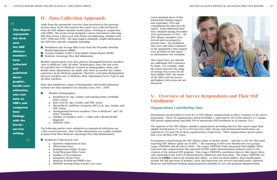# IV. Data Collection Approach

Aside from the nationwide overview data presented in the previous section, most of the data used in this report were collected directly from the SNP Alliance member health plans. Working in conjunction with NHPG, The Lewin Group designed a survey instrument collecting SNP data across a three-year time frame encompassing calendar years 2007, 2008 and 2009. The data request primarily sought information the SNPs have already compiled, including:

- **Enrollment and Average Risk Score from the December Monthly** Membership Report (MMR)
- Average Number of HCCs from Model Output Report (MOR)
- **Medicare Advantage Price Bid Submission**

Member organizations were also asked to distinguish between enrollees "new to Medicare" and "all other" beneficiaries, since the risk score for enrollees new to Medicare is based on demographics alone, and health status adjustments are made only when an enrollee has claims experience in the Medicare program. Therefore, each plan distinguished between enrollees new to Medicare (Risk Adjustment Factor Type E) and all other enrollees.

- **Healthcare Utilization & Cost** 
	- Inpatient Admissions & Days
	- Observation Days
	- Readmissions within 30 days
	- Total Physician Office Visits
	- Number of Prescriptions
	- Emergency Room Visits
	- Medicare & Medicaid PMPM costs
	- FIDESNP: nursing home & home care costs

Plans also submitted a range of demographic and health utilization statistics for their members for calendar years 2007 - 2009.

- Member Demographics
	- Enrollment by Age, Gender, and nursing home certifiable (NHC) status
	- Risk Score by Age, Gender, and NHC status
	- Hierarchical Condition Categories (HCCs) by Age, Gender, and NHC Status
	- Distinguished between enrollees "New to Medicare" and "All Other" Enrollees
	- Number of enrollees with  $1+$  claim with a Mental Health diagnosis
	- FIDESNP: ADLs

The following metrics were submitted as annualized utilization per 1,000 covered persons. Most of this information was readily available to plans from their Medicare Advantage Price Bid Submission(s):

Lewin obtained most of this information during August and September 2010 and consolidated the data into the report. Some additional data were obtained during December 2010 and January of 2011. All SNP Alliance members were invited and encouraged to provide data. All enrollment, risk score and other responses to the quantitative data request were included in this report no information was excluded.

This report does not identify any individual SNP's statistics by name. For example, while the report presents the range of average risk scores for all dual eligible SNPs, the names of the SNPs with the lowest and highest risk scores are not disclosed.

# V. Overview of Survey Respondents and Their SNP Enrollment

# Organizations Contributing Data

Information was provided to Lewin by 20 SNP Alliance organizations in direct response to the survey instrument. These 20 organizations, listed in Exhibit 5, represented 16% of the nation's 127 unique SNP parent organizations and held 30% of nationwide SNP enrollment as of January 2011.

The majority of the SNP Alliance member organizations providing data for this report target dual eligible beneficiaries (17 of 20 or 85% percent) while chronic and institutional beneficiaries are targeted by 25% and 20% of these organizations, respectively. Three organizations operate plans that cover all three SNP Types.

For purposes of portraying the SNP Alliance plans in further detail — and due to the fact that most reporting SNP Alliance plans are D-SNPS — the reporting D-SNPs were divided into two groups: Legacy FIDESNPs and all other D-SNPs. The Legacy FIDESNPs (Fully Integrated Dual Eligible SNPs) represent nine organizations that operated D-SNPs under demonstration authority prior to the creation of the national SNP program. Nine Legacy FIDESNPs contributed data to this report, three each operating in the states of Massachusetts, Minnesota and Wisconsin. The Legacy FIDESNPs are shown in Exhibit 5 and in all ensuing data tables. As their acronym implies, these health plans include the full spectrum of primary, acute and long-term care services provided under capitated Medicare and Medicaid funding using integrated methods of care and program administration.



This Report represents the third year the SNP Alliance members have collected and published demographic, health care utilization, and cost data on SNPs and compared their findings with the fee-forservice setting.

"

"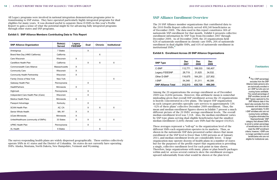All Legacy programs were involved in national integration demonstration programs prior to transitioning to SNP status. They have operated particularly highly integrated programs for dual eligibles for many years. It was deemed useful to separate these D-SNPs in this year's Profile Report to gain a sense of what the potential might be for advancing fully integrated programs through other states and SNP programs.

#### **Exhibit 5. SNP Alliance Members Contributing Data to This Report**

### Footnotes *\_\_\_\_\_\_\_\_\_\_\_\_\_\_\_\_\_\_\_*

. *<sup>4</sup>* The I-SNP percentage excludes from the SNP Alliance totals persons who are technically enrolled in an I-SNP but who are not nursing home certifiable. The overall percentage of SNP enrollees (across all SNP Types) captured by the SNP Alliance data in this report also excludes from the numerator and denominator approximately 72,000 I-SNP enrollees who are not nursing home certifiable. Congress eliminated the "disproportionate" SNP category that allowed SNPs to enroll a certain percentage of beneficiaries who did not meet the SNP enrollment criteria; however, I-SNPs are no longer permitted to enroll beneficiaries who are not eligible for institutional care.

Among the 20 organizations the average enrollment as of December 2009 was 24,694 persons. 2009 was 24,694 persons. However, this arithmetic mean is somewhat misleading given that overall SNP enrollment across the 20 organizations However, this arithmetic mean is somewhat misleading given that overall SNP enrollment is heavily concentrated in a few plans. The largest SNP organization across the 20 organizations is heavily concentrated in a few plans. The largest SNP organization is heavily concentrated in a few plans. The targest of the organization<br>in each category provides specialty care services to approximately 53% - 62% of these plans' collective December 2009 enrollment. Thus, the mean and median enrollment figures shown in Exhibit 7 present a much different picture of the 20 SNPs' average enrollment levels. The overall median enrollment level was 7,318. Also, the median enrollment varies by SNP type; plans serving dual eligible beneficiaries had the smallest median enrollment (3,449); chronic care SNPs had the largest (10,932).

These averages represent a "roll-up" to the organization level of the different SNPs each organization operates in its markets. Thus, as shown in the nationwide SNP data presented earlier shows that mean enrollment at the SNP level is fewer than 3,000 persons as of January embilitent at the sixt level is fewer than 5,000 persons as of January<br>2011, and median enrollment levels are considerably lower. A large organization may operate dozens of health plans in a number of states but for the purposes of the profile report that organization is providing a single, collective enrollment level for each point in time shown. Therefore, large organizations with many plans or plan benefit packages within and/or across several contracts skew the enrollment averages upward substantially from what would be shown at the plan level. These averages represent a "roll-up" to the organization level of the

# SNP Alliance Enrollment Overview

The 20 SNP Alliance member organizations that contributed data to the 2010 Profile Report collectively served 499,240 beneficiaries as of December 2009. The data used in this report constitutes 36% of nationwide SNP enrollment for that month. Exhibit 6 presents collective enrollment information by SNP Type from December 2007 through December 2009. As of December 2009, the 20 organizations held  $62\%$  of nationwide enrollment in chronic care SNPs, 26% of nationwide enrollment in dual eligible SNPs, and 41% of nationwide enrollment in  $\frac{4}{1000}$ institutional SNPs.<sup>4</sup> institutional SNPs. 4

# **Exhibit 6. Enrollment Across 20 SNP Alliance Organizations Exhibit 6. Enrollment Across 20 SNP Alliance Organizations**

| <b>SNP Alliance Organization</b>     | State(s)<br><b>Served</b> | Legacy<br><b>FIDESNP</b> | <b>Dual</b> | <b>Chronic</b> | <b>Institutional</b> |
|--------------------------------------|---------------------------|--------------------------|-------------|----------------|----------------------|
| Amerigroup                           | 7 States                  |                          | X           |                |                      |
| Brand New Day (HMO California)       | California                |                          |             | X              |                      |
| Care Wisconsin                       | Wisconsin                 | X                        |             |                |                      |
| CareMore Health Plan                 | California                |                          | X           | X              | X                    |
| <b>Commonwealth Care Alliance</b>    | Massachusetts             | X                        |             |                |                      |
| <b>Community Care</b>                | Wisconsin                 | X                        |             |                |                      |
| <b>Community Health Partnership</b>  | Wisconsin                 | X                        |             |                |                      |
| Family Choice of New York            | New York                  |                          |             |                | X                    |
| Gateway Health Plan                  | Pennsylvania              |                          | X           |                |                      |
| <b>HealthPartners</b>                | Minnesota                 | X                        |             |                |                      |
| Highmark                             | Pennsylvania              |                          | X           |                |                      |
| Independent Care Health Plan (iCare) | Wisconsin                 |                          | X           |                |                      |
| <b>Medica Health Plans</b>           | Minnesota                 | X                        |             |                |                      |
| Passport Advantage                   | Kentucky                  |                          | X           |                |                      |
| <b>SCAN Health Plan</b>              | AZ, CA                    |                          | X           | X              | X                    |
| Senior Whole Health                  | MA, NY                    | X                        | X           |                |                      |
| <b>UCare Minnesota</b>               | Minnesota                 | X                        |             |                |                      |
| UnitedHealthcare (community of SNPs) | 33 States                 | X                        | X           | X              | X                    |
| <b>UPMC Health Plan</b>              | Pennsylvania              |                          | X           |                |                      |
| <b>XL Health</b>                     | 6 States                  |                          |             | X              |                      |

The survey-responding health plans are widely dispersed geographically. These entities collectively operate SNPs in 41 states and the District of Columbia. Six states do not currently have operating SNPs: Alaska, Montana, North Dakota, New Hampshire, Vermont and Wyoming.

12

| <b>SNP Type</b>           | <b>Dec</b><br>2007 | <b>Dec</b><br>2008 | Dec<br>2009 |
|---------------------------|--------------------|--------------------|-------------|
| C-SNP                     | 112,771            | 188,533            | 190,407     |
| Legacy FIDESNP            | 28,719             | 31,625             | 34,532      |
| Other D-SNP               | 116,675            | 164,251            | 227,902     |
| I-SNP                     | 54,348             | 51,311             | 46,399      |
| <b>SNP Alliance Total</b> | 312,513            | 435,720            | 499,240     |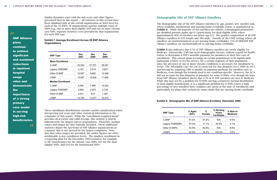Similar dynamics exist with the risk score and other figures presented later in this report  $-$  all statistics in this section have been tabulated only at the overall organization or MAO level for each of the 20 SNPs. If organizations operate multiple types of shown at the SNPs (e.g., one or more dual eligible SNP and one or more chronic care SNP), separate statistics were provided by that organization care  $\sum_{n=1}^{\infty}$ for each SNP type. organization or MAO level for the 20 SNPs. If organizations of the 20 SNPs. If organizations of the 20 SNPs. If organizations of the 20 SNPs. If or  $\alpha$  is the 20 SNPs. If or  $\alpha$  is the 20 SNPs. If or  $\alpha$  is the 20 SNPs.

# **Exhibit 7. Average Enrollment Across 20 SNP Alliance**  SNPs (e.g., one or more dual eligible SNP *and* one or more chronic care SNP), separate statistics **Organizations**<br> **Organizations**

The demographic mix of the SNP Alliance enrollees by age, gender, new enrollee and, where available, institutional and nursing home certifiable status, is summarized in Exhibit 8. While the majority of the enrollees are elderly, a meaningful proportion are disabled persons under age 65 (particularly for dual eligible SNPs, where approximately 40% of enrollees are below age 65). The gender composition of all SNP Alliance enrollees is 62% female and 38% male. Outside of the I-SNP setting (where all enrollees are institutionalized or are nursing home certifiable), 31% of FIDESNP SNP Alliance enrollees are institutionalized or nursing home certifiable.

Exhibit 8 also indicates that 6.5% of SNP Alliance enrollees are newly eligible for matrix e also marches that show of SAT Timance em shoes are hearty engineered.<br>Medicare. Historically, CMS has used demographic factors, without regard for health status, to determine a SNP's monthly payment for members in their first year of enrollment. This caused plans focusing on certain populations to be significantly underpaid, relative to fee-for-service, for a certain segment of their population  $-\frac{1}{2}$ since the presence of one or more chronic conditions is necessary for enrollment to occur. The Affordable Care Act (ACA) corrected for this disparity for C-SNPs in 2011 and beyond by requiring CMS to modify its payment methods for enrollees new to Medicare, even though the formula used is not condition-specific. However, the ACA did not account for this disparity in payment for some D-SNPs, even though the data from SNP Alliance members shows that 4-7% of D-SNP enrollees are new to Medicare. While this may not be a problem for D-SNPs serving a relatively normal distribution  $\mathbb{R}^n$ of dual eligible beneficiaries, it is a significant problem for D-SNPs where a high of duarengible beneficialies, it is a significant problem for D-SNPs where a flight<br>percentage of new enrollees have complex care needs at the time of enrollment, and percentage of new embifies have complex care needs at the time of embifient, and<br>particularly for plans that exclusively target duals that are nursing home certifiable. particularity for practo that exercisely target additional direction of notice extends

## Demographic Mix of SNP Alliance Enrollees

| <b>SNP Type</b>          | <b>Dec</b><br>2007 | <b>Dec</b><br>2008 | Dec<br>2009 |
|--------------------------|--------------------|--------------------|-------------|
| <b>Mean Enrollment</b>   |                    |                    |             |
| C-SNP                    | 22,554             | 37,707             | 38,081      |
| Legacy FIDESNP           | 3,191              | 3,514              | 3,837       |
| Other D-SNP              | 10,607             | 9,662              | 13,406      |
| <b>I-SNP</b>             | 13,587             | 12,828             | 11,600      |
| <b>Median Enrollment</b> |                    |                    |             |
| C-SNP                    | 4,040              | 7,965              | 10,932      |
| Legacy FIDESNP           | 2,600              | 2,670              | 2,730       |
| Other D-SNP              | 2,021              | 872                | 1,367       |
| I-SNP                    | 12,754             | 11,677             | 10,512      |

**Example 3** These enrollment distributions warrant careful consideration when  $\mathbf{r}$ **Example 3** interpreting risk score and other statistical information in the largest influenced by the largest statistic influenced by the largest statistic influenced by the largest statistic influenced by the largest sta **survey-remainder of this report.** While the "enrollment weighted mean" remainder of this report. While the "enrollment weighted mean"  $\mathbf{r}_{\text{loss}}$  an accurate and valid average, this statistic is heavily  $\frac{1}{2}$  influenced by the largest survey-respondents. Therefore, median ranges are provided as a set of  $\frac{1}{2}$  in  $\frac{1}{2}$  in  $\frac{1}{2}$  in  $\frac{1}{2}$  in  $\frac{1}{2}$  in  $\frac{1}{2}$  in  $\frac{1}{2}$  in  $\frac{1}{2}$  in  $\frac{1}{2}$  i  $\blacksquare$  values and ranges are also typically included. These additional statistics depict the spectrum of SNP Alliance organizations in statistics depict the spectrum of SNP Amarice organizations in<br>a manner that is not skewed by the largest companies. Note a manner that is not skewed by the largest companies. Note<br>also that when ranges are provided, the outlier figures are often attributable to low enrollment levels. The smallest enrollment in a reporting plan for the December 2009 statistics, for example, is 487 beneficiaries for the chronic care SNPs, 281 for the dual **C.** Demonstrative for the enrollee entering  $\frac{1}{2}$  eligible SNPs, and 650 for the institutional SNPs.

These enrollment distributions warrant careful consideration when interpreting risk score and SNP Alliance plans continue to achieve significant and sustained reductions in inpatient hospital usage rates and demonstrate the importance of a strong primary care model in serving high-risk beneficiaries. "

#### **Exhibit 8. Demographic Mix of SNP Alliance Enrollees, December 2009 Exhibit 8. Demographic Mix of SNP Alliance Enrollees, Overview as of December 2009**

# "

| <b>SNP Type</b> | % Aged<br>$(65+)$ | %<br><b>Female</b> | % Nursing<br>Home<br><b>Certifiable</b> | % New to<br><b>Medicare</b> |
|-----------------|-------------------|--------------------|-----------------------------------------|-----------------------------|
| C-SNP           | 81.0%             | 57.2%              | N/A                                     | 9.6%                        |
| Legacy FIDESNPs | 97.0%             | 71.1%              | 30.6%                                   | 4.1%                        |
| Other D-SNPs    | 54.8%             | 62.8%              | N/A                                     | 6.6%                        |
| I-SNPs          | 92.8%             | 76.4%              | 100.0%                                  | 0.6%                        |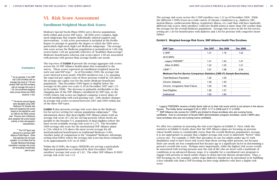# VI. Risk Score Assessment

### Enrollment-Weighted Mean Risk Scores

Medicare Special Needs Plans (SNPs) serve diverse populations both within and across SNP types. All SNPs serve complex, highneed subgroups that require individually tailored support and interventions. A risk score assessment is included in the Profile Report to attempt to quantify the degree to which the SNPs serve particularly high-need, high-cost Medicare subgroups. The average risk score across the Medicare population is normalized at 1.00; risk scores below 1.00 are generally reflective of "healthier-than-average" Medicare beneficiaries whereas risk scores above 1.00 are associated with persons with greater-than average health care needs.

The top rows of **Exhibit 9** present the average aggregate risk scores across the 20 SNP Alliance health plans that responded to the survey. These scores represent an enrollment-weighted mean for each year and SNP type.<sup>5</sup> As of December 2009, the average risk score (derived across nearly 500,000 enrollees) was 1.32, meaning the expected per capita costs of these persons would be 32% above the average per capita cost for the entire Medicare beneficiary population. This December 2009 figure is slightly below the averages in the prior two years (1.36 in December 2007 and 1.33 in December 2008). The decrease is primarily attributable to the changing mix of the SNP Alliance enrollment by SNP type, as the I-SNPs (where risk scores are highest) comprise a lower share of overall membership with each passing year. Only modest changes in average risk scores occurred between 2007 and 2009 within any of the three SNP types.

Exhibit 9 also presents average risk score data in the Medicare fee-for-service setting for various population subgroups.<sup>6</sup> This information shows that dual eligible SNP Alliance plans (with an average risk score of 1.26) are serving persons whose needs are parallel to the broader U.S. population of dual eligibles (where the most recent available average risk score is 1.27). The December 2009 average risk score for the institutional SNP Alliance plans is 2.04, which is 11% above the most recent average for all institutionalized beneficiaries in traditional Medicare (1.84). Another point of comparison is the "standard" Medicare Advantage setting (non-SNPs); where the average risk score has been estimated to be approximately 0.97 as of 2006.

We offer two cautions in assessing the risk score figures in Exhibit 9. First, while the statistics in Exhibit 9 clearly show that the SNP Alliance plans are focusing on persons whose health status is considerably worse than the overall Medicare population's average, it is not appropriate to assume that a higher average risk score is inherently "better" than a lower one. For example, C-SNPs that specialize in care for adults under age 65 with disabilities tend to have lower risk scores than those serving older persons, not because their care needs are less complicated but because age is a significant factor in determining a their care heeds are less complicated but because age is a significant ractor in determining<br>person's overall risk score. Perhaps more importantly, while the highest risk scores would person's overan risk score. Ternaps more importantly, while the ingliest risk scores would<br>be associated with serving persons near the end of life who are beset with a multitude of conditions at an advanced disease stage, it is valuable for a coordinated care program to entifiable at an advanced alsease stage, it is valuable for a soor analytical care program to engage with persons at much earlier stages to delay/prevent disease progression. Thus, a SNP focusing on, for example, earlier stage diabetics should not be presumed to be fulfilling a less valuable role than a SNP focusing on later-stage diabetics who have a higher risk score.

Within the D-SNPs, the Legacy FIDESNPs are serving a particularly high-need population as evidenced by their December 2009 enrollees' average risk score of 1.62. The other SNP Alliance D-SNPs' average risk score was 1.21.

The average risk score across the C-SNP enrollees was 1.22 as of December 2009. While the different C-SNPs focus on a wide variety of chronic conditions (e.g., diabetes, HIV, mental illness, cardiovascular illness, respiratory illness, etc.) and thus will have markedly different risk scores, their enrollees' collective health status is more than 20% costlier than the average for the overall Medicare population. Average risk scores in the fee-for-service is more than the average for the average for the average for the average for the average for the average for the average for the a setting are  $1.40$  for beneficiaries with diabetes and  $1.84$  for persons with congestive heart  $f_{\text{o}}$ failure. beneficiaries with diabetes and 1.84 for persons with congestive heart failure.

# **Exhibit 9. Weighted Average Risk Score, SNP Alliance Health Plan Enrollees Exhibit 9. Weighted Average Risk Score, SNP Alliance Health Plan Enrollees**

#### Footnotes

*\_\_\_\_\_\_\_\_\_\_\_\_\_\_\_\_\_\_\_*

*5* As an example, if one SNP had 3,000 enrollees with an average risk score of 1.50 and another SNP had 500 enrollees with an average risk score of 1.20, the enrollment-weighted mean across theses two SNPs would be 1.425.

*6* The fee-for-service figures were tabulated using CMS' Medicare 5% Sample data base and assigning risk scores based on the algorithms used by CMS for the 2009 contract year. Persons new to Medicare were assigned risk scores based entirely on their demographic characteristics.

*7* The 0.97 figure was derived for a previous SNP Alliance Profile Report. While that estimate has not been updated, it is not likely that the broader Medicare Advantage population's average risk scores are fluctuating considerably year-to-year.

| <b>SNP Type</b>                                                           | <b>Dec 2007</b> | <b>Dec 2008</b> | <b>Dec 2009</b> |
|---------------------------------------------------------------------------|-----------------|-----------------|-----------------|
| C-SNP                                                                     | 1.21            | 1.18            | 1.22            |
| All D-SNPs                                                                |                 |                 |                 |
| Legacy FIDESNP*                                                           | 1.41            | 1.42            | 1.47            |
| Other D-SNPs                                                              | 1.22            | 1.25            | 1.21            |
| I-SNP **                                                                  | 1.81            | 1.98            | 2.04            |
| Medicare Fee-For-Service Comparison Statistics (CMS 5% Sample Benchmarks) |                 |                 |                 |
| <b>Total Medicare Population</b>                                          | 1.00            | 1.00            |                 |
| Chronic: Diabetes                                                         | 1.39            | 1.40            |                 |
| <b>Chronic: Congestive Heart Failure</b>                                  | 1.82            | 1.84            |                 |
| Dual Eligibles                                                            | 1.26            | 1.27            |                 |
| Institutional                                                             | 1.82            | 1.84            |                 |

\* Legacy FIDESNPs receive a frailty factor add-on to their risk score which is not shown in the above figures. The frailty factor averaged 0.20 in 2007, 0.17 in 2008 and 0.11 in 2009. \*\* SNP Alliance risk scores for I-SNPs are limited to those enrollees who are nursing home certifiable. Due to conversion of Social HMO demonstration program enrollees, some I-SNPs also certifiable. have enrollees who are not nursing home certifiable.  $W_{\rm eff}$  two cautions in assessing the risk score figures in Exhibit 9. Figures in Exhibit 9. First, while the statistics in Exhibit 9. Figures in Exhibit 9. First, while the statistics in Exhibit 9. Figures in Exhibit 9.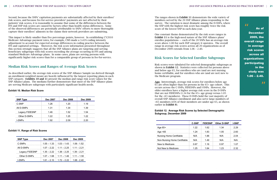Second, because the SNPs' capitation payments are substantially affected by their enrollees' risk scores, and because fee-for-service providers' payments are not affected by their patients' risk scores, it is reasonable to assume that some of the differences between the FFS and SNP risk scores are caused by factors other than health status differences. Some of the observed differences are potentially attributable to SNPs' efforts to more thoroughly capture their enrollees' ailments in the claims their network providers are submitting.

This impact is likely smaller than five percentage points, however. In establishing CY2010 Medicare Advantage payment rates, for example, CMS made a 3.41% coding intensity adjustment to account for expected average differences in coding practice between the process of the state of the state and the process of the state and the state and the state and the state and the state and the state and adjustment to account for expected average unterented in coding practice between the<br>FFS and capitated settings. Moreover, the risk score information presented throughout Tr5 and capitated settings. Moreover, the risk score information presented throughout<br>this section strongly suggests that all the SNP Alliance plans are targeting and serving beneficiary subgroups with risk scores exceeding the average occurring in FFS and among standard Medicare Advantage plans. In some cases, plans are serving persons with significantly higher risk scores than for a comparable group of persons in fee-for-service. enrollees' ailments in the claims their network providers are submitting. differences are potentially attributable to SNPs' efforts to more thoroughly capture their  $\mathcal{L}$  advantage plans are serving persons with significant  $\mathcal{L}$  , plans are serving persons with significant  $\mathcal{L}$ enrollees in the claims that the contract providers into the claims the claims in the claims of the claims are submitted and contract mode.

#### Median Risk Scores and Ranges of Average Risk Scores **B. Median Risk Scores and Ranges of Average Risk Scores**  risk Scores and Ranges of Averas

The ranges shown in Exhibit 11 demonstrate the wide variety of members served by the 20 SNP Alliance plans responding to the survey. The variation is most dramatic among the D-SNPs, where the SNP with the highest risk score has roughly twice the risk score of the lowest SNP in each data year.

One constant theme demonstrated by the risk score ranges in Exhibit 11 is the high-need nature of the SNP Alliance plans' enrollee populations — each of the 20 SNPs has an average risk score above 1.00 for each SNP category it operates. The overall range in average risk scores across all 20 organizations as of **Fig.** December 2009 extends from 1.06 – 2.40.

# Risk Scores for Selected Enrollee Subgroups

As of December 2009, the overall range in average risk scores across all organizations participating in the study was  $1.06 - 2.40.$ where the SNP with the SNP with the SNP with the risk score has roughly twice the risk score of the lowest SNP in

As described earlier, the average risk scores of the SNP Alliance Sample (as derived through As described earlier, the average risk scores of the SNP Alliance sample (as derived through<br>an enrollment-weighted mean) are heavily influenced by the largest reporting plans in each SNP category. **Exhibits 10 and 11** present the median and range risk score values for the SNP Alliance plans. The medians further demonstrate that most of the SNP Alliance plans are serving Medicare subgroups with particularly significant health needs. serving Medicare subgroups with particularly significant health needs.

#### **Exhibit 10. Median Risk Score Exhibit 10. Median Risk Score**

#### **Exhibit 12. Average Risk Scores by Selected Demographic**  members are under age 65, as shown earlier in **Exhibit 8**). **Subgroup, December 2009**

"



Risk scores were tabulated for selected demographic subgroups as **the 20 SNPs has a** shown in Exhibit 12. Statistics were collected for persons above and below age  $65$ , for enrollees who are (and are not) nursing home certifiable, and for enrollees who are (and are not) new to the Medicare program. One constant theme demonstrated by the risk score ranges in **Exhibit 11** is the high-need nature

Age: Interestingly, average risk scores for enrollees below age **Eige:** Interestingly, average risk scores for emonees below age<br>65 are often higher than for persons in the 65+ age cohort. This occurs across the C-SNPs, FIDESNPs and I-SNPs. However, the older enrollees have a higher average risk score in the D-SNPs that are not FIDESNPs (1.34 for the 65+ age group versus 1.05 for the <65 members). These D-SNPs hold the vast majority of overall SNP Alliance enrollment and also serve large numbers of  $<$  65 members (45% of their members are under age 65, as shown earlier in Exhibit 8).

#### **Exhibit 11. Range of Risk Scores Exhibit 11. Range of Risk Scores Exhibit 11. Range of Risk Scores**

| <b>SNP Type</b> | <b>Dec 2007</b> | <b>Dec 2008</b> | <b>Dec 2009</b> |
|-----------------|-----------------|-----------------|-----------------|
| C-SNP           | 1.26            | 1.20            | 1.19            |
| All D-SNPs      | 1.31            | 1.34            | 1.39            |
| Legacy FIDESNP  | 1.46            | 1.52            | 1.54            |
| Other D-SNPs    | 1.22            | 1.25            | 1.22            |
| I-SNPs          | 1.92            | 2.09            | 2.20            |

| <b>SNP Type</b> | Dec 2007      | <b>Dec 2008</b> | <b>Dec 2009</b> |
|-----------------|---------------|-----------------|-----------------|
| C-SNPs          | $1.05 - 1.33$ | $1.03 - 1.43$   | $1.06 - 1.52$   |
| All D-SNPs      | $1.07 - 2.22$ | $1.11 - 2.25$   | $1.11 - 2.21$   |
| Legacy FIDESNP  | $1.35 - 2.22$ | $1.38 - 2.25$   | $1.39 - 2.21$   |
| Other D-SNPs    | $1.07 - 1.68$ | $1.11 - 1.46$   | $1.11 - 1.50$   |
| I-SNPs          | $1.61 - 2.10$ | $1.72 - 2.22$   | $1.68 - 2.40$   |

|                                 | <b>C-SNP</b> | <b>FIDESNP</b> | <b>Other D-SNP</b> | I-SNP |
|---------------------------------|--------------|----------------|--------------------|-------|
| Age 65+                         | 1.22         | 1.62           | 1.34               | 2.29  |
| Age $<65$                       | 1.24         | 1.83           | 1.05               | 2.60  |
| <b>Nursing Home Certifiable</b> | N/A          | 1.88           | N/A                | 2.04  |
| Non-Nursing Home Certifiable    | N/A          | 1.49           | N/A                | N/A   |
| New to Medicare                 | 0.67         | 1.16           | 0.97               | 1.07  |
| Not New to Medicare             | 1.25         | 1.64           | 1.23               | 2.32  |

**New Medicare Eligibles:** CMS determines risk-adjustment factors for every new Medicare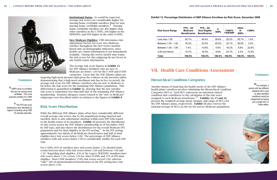

#### Footnotes

*\_\_\_\_\_\_\_\_\_\_\_\_\_\_\_\_\_\_\_ 8* I-SNPs have no enrollees that are not nursing home certifiable. This is the requisite condition for I-SNP enrollment.

*<sup>10</sup>* For example, a person with two different diabetes HCCs (and no other identified conditions) would be categorized as having only a single HCC in these tables

*<sup>9</sup>* The FFS risk score distributions were tabulated by Ingenix Consulting using CMS 5% Sample data files.

*\_\_\_\_\_\_\_\_\_\_\_\_\_\_\_\_\_\_\_*

Institutional Status: As would be expected, average risk scores are considerably higher for nursing home certifiable enrollees than for nonnursing home certifiable members. $\delta$  Nursing home certifiable enrollees are 46% higher than other enrollees in the C-SNPs, 26% higher in the FIDESNPs, and 69% higher in the other D-SNPs.

New Medicare Eligibles: CMS determines riskadjustment factors for every new Medicare enrollee throughout the first twelve months based only on demographic indicators, since health care claims information is not immediately available. During this twelve month time frame, the risk scores for this subgroup do not factor in any health status information.

The average risk score figures in Exhibit 12 for SNP Alliance members who are new to Medicare are below 1.00 for the C-SNP and D-SNP categories. Given that the SNP Alliance plans are

targeting high-need persons (and given the evidence in the previous tables demonstrating that a high-need enrollment mix has in fact occurred), the average risk score for SNP Alliance enrollees who are new to Medicare is far below the risk score for the remaining SNP Alliance population. This differential is quantified in Exhibit 12, showing that the new enrollee risk score is sometimes less than half that of the remaining SNP Alliance membership. Payment adequacy issues related to the "new to Medicare" subgroups were described earlier in relation to the figures in Exhibit 8.

# Risk Score Distribution

While the different SNP Alliance plans often have considerably different overall average risk scores, due to the populations being targeted and enrolled, there is also substantial variation within each SNP with regard to the health status of its members. Exhibit 13 presents the distribution of risk scores across the SNP Alliance membership as of December 2009 by SNP type, and also shows the distribution for the overall Medicare FFS population and for dual eligibles in the FFS setting.<sup>9</sup> In the FFS setting, approximately two-thirds of all Medicare beneficiaries and half of dual eligibles have risk scores below 1.00. The percentage of SNP Alliance enrollees with risk scores below 1.00 is considerably smaller for each SNP type.

For C-SNPs, 85% of enrollees have risk scores below 1.50, divided fairly evenly between those with risk scores below 1.00 and between 1.00 and 1.50. Regarding dual eligibles, 43% of the Legacy FIDESNPs' members have risk scores above 1.50, versus 13% for other D-SNPs and 27% of FFS dual eligibles. Most I-SNP members' (74%) risk scores exceed 2.00, whereas "only" 34% of institutionalized beneficiaries in the FFS setting have risk scores above 2.00.

# Hierarchical Condition Categories

Another means of depicting the health needs of the SNP Alliance health plans' enrollees involves tabulating the Hierarchical Condition Categories (HCCs). Each HCC represents an unrelated clinical condition that contributes to the calculation of the risk score assigned to each Medicare beneficiary.<sup>10</sup> Exhibits 14, 15 and 16 present the weighted average mean, median, and range of HCCs for the SNP Alliance plans, respectively. Exhibit 14 also conveys the national average of HCCs in the fee-for-service Medicare population.



# **Footnotes**

#### **Exhibit 13. Percentage Distribution of SNP Alliance Enrollees by Risk Score, December 2009 Exhibit 13. Percentage Distribution of SNP Alliance Enrollees by Risk Score, December 2009**

| <b>Risk Score Range</b> | $FFS - All$<br><b>Medicare</b><br><b>Beneficiaries</b> | $FFS - All$<br><b>Dual Eligible</b><br><b>Beneficiaries</b> | $c-$<br><b>SNPs</b> | Legacy<br><b>FIDESNP</b> | <b>Other</b><br>D-<br><b>SNPs</b> | <b>I-SNPs</b> |
|-------------------------|--------------------------------------------------------|-------------------------------------------------------------|---------------------|--------------------------|-----------------------------------|---------------|
| Less than 1.00          | 65.7%                                                  | 49.4%                                                       | 39.6%               | 25.2%                    | 29.7%                             | 1.4%          |
| Between 1.00 - 1.49     | 16.3%                                                  | 23.5%                                                       | 45.0%               | 32.1%                    | 56.8%                             | 2.4%          |
| Between 1.50 - 1.99     | $7.4\%$                                                | 10.6%                                                       | 6.6%                | 18.2%                    | 8.8%                              | 22.6%         |
| 2.00 and Above          | 10.7%                                                  | 16.5%                                                       | 8.6%                | 24.7%                    | 4.3%                              | 73.9%         |
| Total                   | 100.0%                                                 | 100.0%                                                      | 100.0%              | 100.0%                   | 100.0%                            | 100.0%        |

# VII. Health Care Conditions Assessment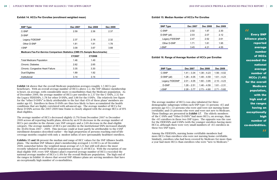Exhibit 14 shows that the overall Medicare population averages roughly 1.5 HCCs per **Exhibit 14** shows that the overall Medicare population averages roughly 1.5 HCCs per beneficiary. With an overall average number of HCCs above 2.2, the SNP Alliance membership beneficiary. With an overall average number of HCCs above 2.2, the SNP Alliance membership is beset, on average, with considerably more co-morbidities than the Medicare population. As is beset, on average, with considerably more co-morbidities than the Medicare population. As of December 2009, the average number of HCCs per enrollee is 2.37 for the C-SNPs, 2.32 for of December 2009, the average number of HCCs per enrollee is 2.37 for the C-SNPs, 2.32 for the the Legacy FIDESNPs, 1.78 for other D-SNPs, and 3.88 for the I-SNPs. The relatively low figure for the "other D-SNPs" is likely attributable to the fact that 45% of these plans' members are under the fact that 45% of these plans' members are under age 65. Enrollees in these D-SNPs are thus less likely to have accumulated the health and age 65. Enrollees in these D-SNPs are thus less likely to have accumulated the health conditions that are highly correlated with advanced age. The average number of HCCs for these D-SNPs across the 2007-2009 time frame is closely aligned with the average HCCs of FFS dual eligibles.<br>dual eligibles.

#### **Exhibit 14. HCCs Per Enrollee (enrollment weighted mean)**

The average number of HCCs decreased slightly (3.7%) from December 2007 to December 2009 across all reporting health plans, driven by an 8.5% decrease in the average number of HCCs per enrollee in the chronic care SNP category and a 2.6% decrease in the dual eligible category. The average number of HCCs per enrollee in the institutional SNPs increased sharply (by 30.6%) from 2007 - 2009. This increase could at least partly be attributable to the I-SNP enrollment dynamics described earlier – the high proportion of persons reaching end-of-life coverage months coupled with only a modest influx of new (presumably healthier) enrollees.

Exhibits 15 and 16 present the median and range of HCC values for the SNP Alliance health plans. The median SNP Alliance plan's membership averaged 2.14 HCCs as of December 2009, somewhat below the weighted mean average of 2.21 but still well above the most recently tabulated overall Medicare population average (1.49 HCCs). With the exception of one dual eligible SNP, every SNP Alliance plan's reported average number of HCCs exceeded the national average number of HCCs (1.49) for the overall Medicare population. The high end of the ranges in Exhibit 16 shows that several SNP Alliance plans are serving members that have an exceptionally high number of co-morbidities.

#### **Exhibit 15. Median Number of HCCs Per Enrollee Exhibit 15. Median Number of HCCs Per Enrollee**  and the co-morbidities of co-morbidities. The co-morbidities of co-morbidities  $\mathcal{L}_{\mathcal{A}}$

Every SNP Alliance plan's reported average number of HCCs exceeded the national average number of HCCs (1.49) for the overall **Medicare** population, with the high end of the ranges having an exceptionally high number of co-morbidities. " "

The average number of HCCs was also tabulated for three demographic subgroups within each SNP type: (1) persons <65 and persons age 65+; (2) persons who were and were not nursing home certifiable; and (3) persons who were and were not new to Medicare. These findings are presented in Exhibit 17. The elderly members of the C-SNPs and "Other D-SNPs" had more HCCs, on average, than the <65 enrollees in these two SNP types. The opposite was the case for the FIDESNPs and I-SNPs (with the younger enrollees having more HCCs), although there were very small numbers of <65 enrollees in these two SNP types.

Among the FIDESNPs, nursing home certifiable members had more HCCs than enrollees who were not nursing home certifiable. Similarly, enrollees who had been covered by Medicare for more than a year had more HCCs than enrollees who were "new to Medicare."

# **Exhibit 16. Range of Average Number of HCCs per Enrollee Exhibit 16. Range of Average Number of HCCs per Enrollee**

| <b>SNP Type</b> | <b>Dec 2007</b> | <b>Dec 2008</b> | <b>Dec 2009</b> |
|-----------------|-----------------|-----------------|-----------------|
| C-SNP           | 2.02            | 1.97            | 2.30            |
| D-SNP (all)     | 2.03            | 2.07            | 2.12            |
| Legacy FIDESNP  | 2.47            | 2.52            | 2.61            |
| Other D-SNP     | 1.71            | 1.81            | 1.95            |
| I-SNP           | 3.45            | 4.21            | 4.55            |

| <b>SNP Type</b> | Dec 2007      | <b>Dec 2008</b> | <b>Dec 2009</b> |
|-----------------|---------------|-----------------|-----------------|
| C-SNP           | $1.41 - 3.34$ | $1.38 - 4.23$   | $1.56 - 4.02$   |
| D-SNP (all)     | $1.28 - 4.05$ | $1.48 - 4.59$   | $1.61 - 4.23$   |
| Legacy FIDESNP  | $2.01 - 4.05$ | $1.60 - 3.95$   | $2.10 - 4.23$   |
| D-SNP           | $1.28 - 2.51$ | $1.48 - 4.59$   | $1.61 - 2.31$   |
| I-SNP           | $2.28 - 3.77$ | $2.73 - 4.80$   | $2.71 - 5.60$   |

| <b>SNP Type</b> | <b>Dec 2007</b> | <b>Dec 2008</b> | <b>Dec 2009</b> |
|-----------------|-----------------|-----------------|-----------------|
| C-SNP           | 2.59            | 2.36            | 2.37            |
| D-SNP           |                 |                 |                 |
| Legacy FIDESNP  | 2.37            | 2.18            | 2.32            |
| Other D-SNP     | 1.81            | 1.91            | 1.78            |
| I-SNP           | 3.09            | 3.67            | 3.88            |

**Medicare Fee-For-Service Comparison Statistics (CMS 5% Sample Benchmarks)** 

|                                          | <b>CY2007</b> | CY2008 |  |
|------------------------------------------|---------------|--------|--|
| <b>Total Medicare Population</b>         | 1.46          | 1.49   |  |
| <b>Chronic: Diabetes</b>                 | 2.62          | 2.65   |  |
| <b>Chronic: Congestive Heart Failure</b> | 3.35          | 3.30   |  |
| Dual Eligibles                           | 1.89          | 1.92   |  |
| Institutional                            | 3.14          | 3.14   |  |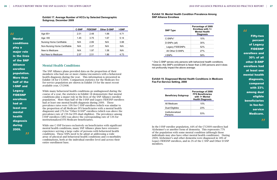#### **Exhibit 19. Diagnosed Mental Health Conditions in Medicare Fee-For-Service Setting, 2008 Beneficiary Subgroup**

#### **Exhibit 18. Mental Health Condition Prevalence Among SNP Alliance Enrollees**

**AA**<br>Mental conditions play a major role in the lives of the SNP Alliance enrollee population. More than half of the I-SNP and **Legacy** FIDESNP enrollees had at least one mental health diagnosis during 2009.

Fifty-two percent of Legacy FIDESNP enrollees and 30% of all other D-SNP enrollees had at least one mental health diagnosis, compared with 23% among dual eligible beneficiaries in fee-forservice Medicare. those individuals may also have other mental health conditions). During 2009, Alzheimers and

"

"

**Exhibit 17. Average Number of HCCs by Selected Demographic Subgroup, December 2009 Exhibit 17. Average Number of HCCs by Selected Demographic Subgroup, December 2009** 

**Exhibit 19. Diagnosed Mental Health Conditions in Medicare Fee-For-Service Setting, 2008** 

| <b>SNP Type</b>     | Percentage of 2009<br>Enrollees with 1+<br><b>Mental Health</b><br><b>Diagnosis</b> |
|---------------------|-------------------------------------------------------------------------------------|
| C-SNPs <sup>*</sup> | 10%                                                                                 |
| D-SNPs (all)        | 30%                                                                                 |
| Legacy FIDESNPs     | 52%                                                                                 |
| All Other D-SNPs    | 27%                                                                                 |
| I-SNPs              | 58%                                                                                 |

\* One C-SNP serves only persons with behavioral health conditions. However, this SNP's enrollment is fewer than 2,000 persons and it does not profoundly impact the above average. One C-SNP serves only persons with behavioral health conditions.

The SNP Alliance plans provided data on the proportion of their members who had one or more claims/encounters with a behavioral members who had one or more claims/encounters with a behavioral is a members who had one of more claims, encounters with a behavioral health diagnosis during the year. This information is presented in Exhibit 18 for CY2009. Comparison statistics for the Medicare feefor-service population are shown in Exhibit 19 for the most recent available year, CY2008. The SNP Alliance plans provided data on the proportion of their members who had one or statistics in **Exhibit 18** demonstrate that mental conditions play a major role in the lives of the

While many behavioral health conditions go undiagnosed during the I-SNP and Legacy FIDESNP and Legacy FIDESNP and Legacy FIDESNP and Legacy FIDESNP and Legacy FIDESNP and Legacy FIDESNP and Legacy FIDESNP and Legacy FIDESN **Fig. 2.1** course of a year, the statistics in Exhibit 18 demonstrate that mental conditions play a major role in the lives of the SNP Alliance enrollee **EXECUTE:** The population. More than half of the I-SNP and Legacy FIDESNP enrollees prevalence rate at least one mental health diagnosis during 2009. These had at least one mental health diagnosis during 2009. These prevalence rates were 10% for C-SNP enrollees (which was similar to the proportion of all Medicare FFS beneficiaries with a mental health diagnosis) and 27% for "Other D-SNP" enrollees (which was above the prevalence rate of 23% for FFS dual eligibles). The prevalence among  $\frac{1}{2}$  and  $\frac{1}{2}$  and  $\frac{1}{2}$  and  $\frac{1}{2}$  and  $\frac{1}{2}$  and  $\frac{1}{2}$  and  $\frac{1}{2}$  and  $\frac{1}{2}$  and  $\frac{1}{2}$  and  $\frac{1}{2}$  and  $\frac{1}{2}$  an I-SNP enrollees (58%) was above the corresponding rate of 53% for institutional FEC Madisons. Investigation institutionalized FFS Medicare beneficiaries. physical and behavioral health co-morbidity co-morbidity co-morbidity co-morbidity co-morbidity co-morbidity co-morbidity co-morbidity co-morbidity co-morbidity co-morbidity co-morbidity co-morbidity co-morbidity co-morbid

**individual enrollee individual enrollee level and across the significant enrollee level and across the enrollee level and across the unit base.** While one C-SNP focuses exclusively on beneficiaries with significant mental health conditions, many SNP Alliance plans have extensive experience serving a large cadre of persons with behavioral health conditions. These SNPs need to be adept at addressing a wide array of physical and behavioral health conditions and co-morbidity combinations, both at the individual enrollee level and across their entire enrollment base. mental nealth conditions, many SNP Alliance plans have extensive<br>experience serving a large cadre of persons with behavioral health<br>conditions. These SNPs need to be adept at addressing a wide other dementia were diagnosed in 18% of Legacy FIDESNP enrollees, and in 2% of the C-SNP

| <b>Beneficiary Subgroup</b>  | Percentage of 2008<br><b>FFS Beneficiaries</b><br>with 1+ Mental<br><b>Health Diagnosis</b> |
|------------------------------|---------------------------------------------------------------------------------------------|
| All Medicare                 | 10%                                                                                         |
| Dual Eligibles               | 23%                                                                                         |
| Institutionalized<br>Persons | 53%                                                                                         |

In the I-SNP enrollee population, 44% of the CY2009 enrollees had Alzheimer's or another form of dementia. This represents 77% of the population with some mental condition (although those of the population with some mental condition (arthough those<br>individuals may also have other mental health conditions). During marviduals may also have other memal nearly conditions). During 2009, Alzheimer's and other dementia were diagnosed in 18% of Legacy FIDESNP enrollees, and in 2% of the C-SNP and Other D-SNP members. In the I-SNP enrollee population, 44% of the CY2009 enrollees had Alzheimers or another form In the I-SNP enrollee population, 44% of the CY2009 enrollees had

**Exhibit 19. Diagnosed Mental Health Conditions in Medicare Fee-For-Service Setting, 2008** 

525452

|                                 | <b>C-SNP</b> | <b>FIDESNP</b> | <b>Other D-SNP</b> | I-SNP |
|---------------------------------|--------------|----------------|--------------------|-------|
| Age $65+$                       | 2.01         | 2.48           | 1.88               | 4.71  |
| Age $65$                        | 1.45         | 3.75           | 1.67               | 5.14  |
| <b>Nursing Home Certifiable</b> | N/A          | 2.89           | N/A                | 3.88  |
| Non-Nursing Home Certifiable    | N/A          | 2.27           | N/A                | N/A   |
| New to Medicare                 | N/A          | 1.97           | 1.58               | N/A   |
| Not New to Medicare             | 2.57         | 2.51           | 1.86               | 4.73  |

# **D. Mental Health Conditions**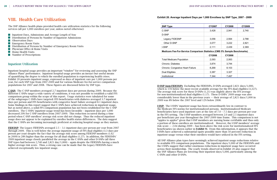# VIII. Health Care Utilization

The SNP Alliance health plans provided health care utilization statistics for the following services (all per 1,000 enrollees per year, unless noted otherwise):

- **Inpatient Days, Admissions and Average Length of Stay**
- **Distribution of Persons by Number of Inpatient Admissions**
- **Observation Days**
- **Emergency Room Visits**
- **Distribution of Persons by Number of Emergency Room Visits**
- **Physician Office & Home Visits**
- $\blacksquare$  Home Health Visits
- **Number of Prescriptions**

### Inpatient Utilization

Inpatient hospital usage provides an important "window" for reviewing and assessing the SNP Alliance Plans' performance. Inpatient hospital usage provides an inexact but useful means of quantifying the degree to which the enrolled population is experiencing health crises. Exhibit 20 presents inpatient usage, expressed as days of inpatient care per 1,000 persons per year, for each SNP type from 2007-2009 and for various Medicare fee-for-service comparison populations for 2007 and 2008. These figures are discussed below by SNP type.

C-SNP: The C-SNP members averaged 2.7 inpatient days per person during 2009. Because the different C-SNPs target a wide variety of conditions, it was not possible to establish a valid FFS comparison group within the scope of this report. Usage statistics were tabulated for some of the subgroups C-SNPs have targeted: FFS beneficiaries with diabetes averaged 3.7 inpatient days per person and FFS beneficiaries with congestive heart failure averaged 8.1 inpatient days. Some findings in this report suggest that C-SNPs have achieved reductions in inpatient usage, but as noted above, a solid FFS comparison population has not been established for the C-SNP enrollees. The C-SNPs' inpatient usage trend has been favorable – inpatient days per 1,000 decreased 20% for C-SNP enrollees from 2007-2009. This reduction occurred during a time period when C-SNP enrollees' average risk score did not change. Thus the reduced inpatient usage does not appear to be explained by enrollee health status differences. The data suggest that the C-SNPs are becoming increasingly proficient at reducing hospital usage as they mature.

FIDESNP: The Legacy FIDESNPs averaged 2.5 – 3.1 inpatient days per person per year from 2007 through 2009. This is well below the average inpatient usage of FFS dual eligibles (3.3 days per person per year) despite the fact that the average risk score among FIDESNP members (1.62 in 2009) is 28% higher than the average for all dual eligibles (1.27). In addition, the FIDESNPs' 2009 inpatient usage closely paralleled the average in the C-SNPs and other D-SNPs (all three SNP types had between 2,740 and 2,821 day/1,000) – again despite the FIDESNPs having a much higher average risk score. Thus, a strong case can be made that the Legacy FIDESNPs have achieved exceptionally low inpatient usage.

**D-SNP (non-FIDESNP):** Excluding the FIDESNPs, D-SNPs averaged 2,821 days/1,000, which is  $15%$  below the most recent available average for the FFS dual eligibles  $(3,327)$ . The average risk score for these D-SNPs (1.21) was slightly above the FFS average for non-institutionalized dual eligibles  $(1.17)$ . These D-SNPs' 2009 usage was also considerably lower than in the previous years — their average of 2,821 days/1,000 in 2009 was 8% below the 2007 level and 12% below 2008. below 2008.

**I-SNP:** The I-SNPs' inpatient usage has been extraordinarily low in contrast to the Medicare FFS norms for institutionalized persons. Institutionalized Medicare beneficiaries have used inpatient care at the rate of  $7.0 - 7.5$  days per person per year in the FFS setting. The I-SNP members averaged between 2.0 and 2.5 inpatient days In the FF3 setting. The F5NF inembers averaged between 2.0 and 2.5 inpatient days per beneficiary per year throughout the 2007-2009 time frame. This comparison is not per beneficially per year diffusion are zoon 2009 time frame. This comparison is not "apples to apples" given that I-SNP members are nursing home certifiable and thus only a portion of these enrollees are institutionalized. However, the I-SNP members' average risk score — 2.04 during 2009 -- has been above the risk score for institutionalized FFS beneficiaries (as shown earlier in Exhibit 9). From this information, it appears that the I-SNPs have achieved a substantial (quite possibly more than 50 percent) reduction in inpatient usage versus what their enrollees would have utilized in the FFS setting.

# **Exhibit 20. Average Inpatient Days per 1,000 Enrollees by SNP Type, 2007 - 2009 Exhibit 20. Average Inpatient Days per 1,000 Enrollees by SNP Type 2007 - 2009**

All SNP Alliance plan types have seemingly achieved inpatient usage reductions relative to available FFS comparison populations. The inpatient days/1,000 of the FIDESNPs and the I-SNPs suggest that rather enormous reductions in inpatient usage have occurred across their membership. The yearly trends observed in Exhibit 20 also suggest that the SNP Alliance Plans are lowering their inpatient days/1,000, particularly among the C-SNPs and other D-SNPs.

| <b>SNP Type</b>                                                           | <b>CY2007</b> | CY2008 | CY2009 |
|---------------------------------------------------------------------------|---------------|--------|--------|
| C-SNP                                                                     | 3,428         | 2,941  | 2,740  |
| D-SNP                                                                     |               |        |        |
| Legacy FIDESNP                                                            | 3,056         | 2,564  | 2,788  |
| Other D-SNP                                                               | 3,077         | 3,222  | 2,821  |
| <b>I-SNP</b>                                                              | 2,111         | 2,439  | 2,369  |
| Medicare Fee-For-Service Comparison Statistics (CMS 5% Sample Benchmarks) |               |        |        |
|                                                                           | CY2006        | CY2008 |        |
| <b>Total Medicare Population</b>                                          | 2,093         | 2,063  |        |
| Chronic: Diabetes                                                         | 3,874         | 3,744  |        |
| <b>Chronic: Congestive Heart Failure</b>                                  | 8,268         | 8,103  |        |
| Dual Eligibles                                                            | 3,387         | 3,327  |        |
| Institutional                                                             | 7,344         | 7,497  |        |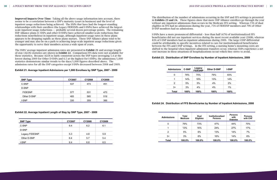**Improved Impacts Over Time:** Taking all the above usage information into account, there seems to be a correlation between a SNP's maturity (years in business) and the level of inpatient usage reductions being achieved. The SNPs that have had the longest-standing inpatient usage reductions being achieved. The sives that have had the longest-standing<br>relationships with their enrollees (the Legacy FIDESNPs and I-SNPs) have achieved the largestscale inpatient usage reductions — probably several dozen percentage points. The remaining SNP Alliance plans (C-SNPs and other D-SNPs) have achieved smaller-scale reductions (but reductions nonetheless) in inpatient usage, although inpatient usage rates in these plans appears to be dropping rapidly as these plans mature. These SNP Alliance plans tend to be younger and may also be on a path to achieving large-scale inpatient usage reductions given the opportunity to serve their members across a wide span of years. **Improved Impacts Over Time:** The above use the above use in the above use the above use in the above use in the a<br>The arm of a country of the above use in the account of the above used in the above used in the above used

The SNPs' average inpatient admission rates are presented in **Exhibit 21** and average lengthof-stay (ALOS) statistics are shown in Exhibit 22. Comparison FFS data were not available for The SNPs' average inpatient admission rates are presented in **Exhibit 21** and average length of these statistics. Because ALOS is fairly consistent across the SNP types (averaging 5.4 at the stay (ALOS) statistics are shown in **Exhibit 22**. Comparison FFS data were not available for lowest during 2009 for Other D-SNPs and 6.5 at the highest for I-SNPs), the admissions/1,000 statistics demonstrate similar trends to the days/1,000 figures described above. The admission rates for all the SNP categories except I-SNPs decreased between 2008 and 2009. these statistics. Because ALOS is fairly consistent across the SNP types (averaging 5.4 at flowest during 2009 for Other D-SNPs and 6.5 at the highest for I-SNPs), the admission statistics demonstrate similar trends to the days/1,000 figures described above. The durinssion rates for all the sive categories except f-sives decreased between 2006 and 20

#### **Exhibit 21. Average Inpatient Admissions per 1,000 Enrollees by SNP Type, 2007 - 2009 Exhibit 21. Average Inpatient Admissions per 1,000 Enrollees by SNP Type 2007 - 2009**  statistics demonstrate similar trends to the days/1,000 figures described above. The admission ration 21. Average inpatient Admissions per 1,000 Embress by One 17 p

The distribution of the number of admissions occurring in the SNP and FFS settings is presented in Exhibits 23 and 24. These figures show that more SNP Alliance enrollees go through the year with the setting. without any inpatient admissions than occurs in the Medicare FFS setting. Whereas  $\overline{73}$ % of dual eligibles in FFS had no admissions during the year, 75% of FIDESNP members and 79% of Other members in 119 had no admissions daring the year, 79% of The BNP members and 79% of D-SNP members had no admissions. The distribution of the number of admissions of admissions of admissions of admissions is the SNP and FS set presented in the stripution of the number of admissions occurring in the SNP and FFS settings

I-SNPs have a more pronounced differential - less than half (47%) of institutionalized FFS beneficiaries did not use inpatient services during the most recent available year (2008), whereas beneficiaries did not use inpatient services during the most recent available year (2008), 83% of I-SNP members had no inpatient admissions during 2009. The large I-SNP differential could be attributable to specific incentives related to care for institutionalized beneficiaries between the FFS and I-SNP settings. In the FFS setting, a nursing home's mounting costs are shifted to the hospital when inpatient admission transfers occur, whereas SNPs experience a net cost increase in these situations (if hospitalizations occur) which they strive to avoid. differential could be a set of the conditions of the control incentives related to the care for institution of the care for institution of the care for institution of the care for institution of the care for institution of bet increase in these shuations (if hospitalizations occur) will they strive to avoid

#### Exhibit 23. Distribution of SNP Enrollees by Number of Inpatient Admissions, 2009  $S_{\text{S}}$  is the state and  $\sigma$  in the second situations (if hospitalizations occur) which they have the  $\sigma$

#### **Exhibit 24. Distribution of FFS Beneficiaries by Number of Inpatient Admissions, 2008**

#### **Exhibit 22. Average Inpatient Length of Stay by SNP Type, 2007 - 2009 Exhibit 22. Average Inpatient Length of Stay by SNP Type 2007 - 2009**

rates for all the SNP categories except I-SNPs decreased between 2008 and 2009.

| <b>SNP Type</b> | <b>CY2007</b> | <b>CY2008</b> | <b>CY2009</b> |
|-----------------|---------------|---------------|---------------|
| C-SNP           | 537           | 473           | 451           |
| D-SNP           |               |               |               |
| <b>FIDESNP</b>  | 577           | 531           | 473           |
| Other D-SNP     | 483           | 565           | 519           |
| I-SNP           | 330           | 359           | 366           |

| <b>SNP Type</b> | <b>CY2007</b> | <b>CY2008</b> | <b>CY2009</b> |
|-----------------|---------------|---------------|---------------|
| C-SNP           | 6.4           | 6.2           | 6.1           |
| D-SNP           |               |               |               |
| Legacy FIDESNP  | 5.3           | 4.8           | 5.9           |
| Other D-SNP     | 6.4           | 5.7           | 5.4           |
| I-SNP           | 6.4           | 6.8           | 6.5           |
|                 |               |               |               |

| <b>Admissions</b> | <b>C-SNP</b> | Legacy<br><b>FIDESNP</b> | <b>Other D-SNP</b> | <b>I-SNP</b> |
|-------------------|--------------|--------------------------|--------------------|--------------|
| 0                 | 78%          | 75%                      | 79%                | 83%          |
|                   | 14%          | 16%                      | 13%                | 14%          |
| 2                 | 5%           | 5%                       | 4%                 | 2%           |
| 3+                | 3%           | 4%                       | 4%                 | $1\%$        |
| <b>Total</b>      | 100%         | 100%                     | 100%               | 100%         |

| <b>Admissions</b> | <b>Total</b><br><b>Medicare</b> | Dual<br><b>Eligibles</b> | Institutionalized<br><b>Persons</b> | <b>Persons</b><br>with<br><b>Diabetes</b> | <b>Persons</b><br>with CHF |
|-------------------|---------------------------------|--------------------------|-------------------------------------|-------------------------------------------|----------------------------|
| 0                 | 79%                             | 73%                      | 47%                                 | 44%                                       | 70%                        |
|                   | 13%                             | 16%                      | 24%                                 | 27%                                       | 17%                        |
| $\overline{2}$    | 5%                              | 6%                       | 13%                                 | 14%                                       | 7%                         |
| $3+$              | 3%                              | 6%                       | 16%                                 | 14%                                       | 6%                         |
| <b>Total</b>      | 100.0%                          | 100.0%                   | 100.0%                              | 100.0%                                    | 100.0%                     |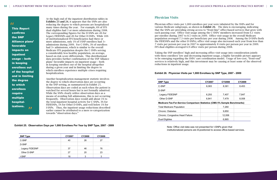At the high end of the inpatient distribution tables in Exhibits 23 and 24, it appears that the SNPs are also reducing the degree to which persons are hospitalized many times during the year. For example, 6% of FFS dual eligibles had 3 or more admissions during 2008. The corresponding figures for the D-SNPs are 4% for Legacy FIDESNPs and 4% for Other D-SNPs. While 16% of institutionalized FFS beneficiaries had three or more admissions, only 1% of I-SNP enrollees had 3+ admissions during 2009. For C-SNPs, 3% of enrollees had 3+ admissions, which is similar to the overall Medicare FFS population despite the C-SNPs serving a considerably less healthy population, on average, based on risk score differentials. This distributional data provides further confirmation of the SNP Alliance plans' favorable impacts on inpatient usage – both in keeping enrollees out of the hospital altogether during a given year and in limiting the degree to which enrollees experience multiple crises requiring hospitalization.

Another hospitalization management statistic involves had 3- admissions during 3- admissions during 3- admissio  $\mathbf{u}$  is  $\mathbf{u}$  and  $\mathbf{v}$  is similar to the degree to which observation days are occurring **considerably less health in** the SNP setting, as summarized in Exhibit 25. observation days are coded as such when the patient is provided as such when the patient is and uses the both inpatient use of the both inpatient use of the hospital altogether watched for several hours but is not formally admitted. **Equire Example 19 Model in the SNPs clearly utilize observation days as a a** means of avoiding full admissions, this is not occurring frequently. Observation days would add about 1% to **ospital** activity for C-SNPs, 3% for the total inpatient hospital activity for C-SNPs, 3% for **EXECUTE ARE OCCUPRENT** FIDESNPS, 1% for Other D-SNPs, and well below 1% for  $\overline{z}$  $I = \frac{1}{\sqrt{2\pi}}$  I-SNPs. Thus, the inpatient usage reductions described. earlier cannot be attributed to a mere re-categorization  $\mathbb{R}$  consider the avoiding function days as a means of avoiding function days as a means of avoiding functions, the second  $\mathbb{R}$  considerable functions, the s towards "observation days." occurring frequently. Observation days would add about 1% to the total inpatient hospital inpatient hospital i

## Physician Visits

Physician office visits per 1,000 enrollees per year were tabulated by the SNPs and for various Medicare subgroups, as shown in Exhibit 26. The data is encouraging, indicating that the SNPs are providing strong access to "front-line" office-based services that grow with each passing year. Office visit usage among the C-SNPs' members increased from 6.1 visits per enrollee during 2007 to 8.5 visits in 2009. Office visit usage in the overall Medicare population averaged 7.3 visits per beneficiary per year during 2008. Among the D-SNPs (both the FIDESNPs and the other D-SNPs), office visit usage also increased each year from less than 7 visits per person per year in 2007 to approximately 8 visits per person per year in 2009. FFS dual eligibles averaged 6.9 office visits per person during 2008.

Taking the SNP enrollees' high and increasing office visit usage into consideration jointly with these enrollees' low and decreasing inpatient usage, a highly favorable picture appears to be emerging regarding the SNPs' care coordination model. Usage of low-cost, "front-end" services is relatively high, and this investment may be causing at least some of the observed reductions in inpatient usage.

Note: Office visit data was not presented for I-SNPs given that institutionalized persons are ill-positioned to access office-based services. positioned to access office-based services.

# **Exhibit 26. Physician Visits per 1,000 Enrollees by SNP Type, 2007 - 2009 Exhibit 26. Physician Visits per 1,000 Enrollees by SNP Type 2007 - 2009**

| <b>SNP Type</b> | CY2007 | CY2008 | CY2009 |
|-----------------|--------|--------|--------|
| C-SNP           | 40     | 26     | 27     |
| D-SNP           |        |        |        |
| Legacy FIDESNP  | 37     | 46     | 76     |
| Other D-SNP     | 27     | 20     | 23     |
| I-SNP           | 18     | 3      | 3      |

Physician office visits per 1,000 enrollees per year were tabulated by the SNPs and for various

categorization towards "observation days." **Exhibit 25. Observation Days per 1,000 Enrollees Per Year by SNP Type, 2007 - 2009**

| <b>SNP Type</b>                                                           | <b>CY2007</b> | CY2008 | CY2009 |
|---------------------------------------------------------------------------|---------------|--------|--------|
| C-SNP                                                                     | 6.083         | 8,381  | 8,453  |
| D-SNP                                                                     |               |        |        |
| Legacy FIDESNP                                                            | 6,293         | 7,407  | 7,847  |
| Other D-SNP                                                               | 6.841         | 7,479  | 8,008  |
| Medicare Fee-For-Service Comparison Statistics (CMS 5% Sample Benchmarks) |               |        |        |
| <b>Total Medicare Population</b>                                          |               | 7,260  |        |
| <b>Chronic: Diabetes</b>                                                  |               | 9,850  |        |
| <b>Chronic: Congestive Heart Failure</b>                                  |               | 12,006 |        |
| Dual Eligibles                                                            |               | 6,865  |        |

Legacy FIDESNP 593 917 914

# "

multiple **multiple** This Report confirms the SNP Alliance plans' favorable impacts on inpatient usage – both in keeping enrollees out of the hospital and in limiting the degree to which enrollees require hospital-.........<br>izations.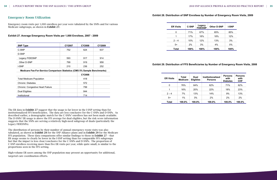# Emergency Room Utilization

Emergency room visits per 1,000 enrollees per year were tabulated by the SNPs and for various Medicare subgroups, as shown in Exhibit 27.

### **Exhibit 27. Average Emergency Room Visits per 1,000 Enrollees, 2007 - 2009**

The ER data in Exhibit 27 suggest that the usage is far lower in the I-SNP setting than for institutionalized FFS beneficiaries. The data are less conclusive for the C-SNPs and D-SNPs. As described earlier, a demographic match for the C-SNPs' enrollees has not been made available. The D-SNPs' ER usage is above the FFS average for dual eligibles, but the risk score information suggests that the SNPs are serving a relatively high-need subgroup of duals (particularly the Legacy FIDESNPs).

The distribution of persons by their number of annual emergency room visits was also tabulated, as shown in Exhibit 28 for the SNP Alliance plans and in Exhibit 29 for the Medicare FFS population. These data comparisons offer similar findings to those in Exhibit 27 – that ER usage seems to clearly be lower in the I-SNP setting than for comparable FFS subgroups but that the impact is less clear/conclusive for the C-SNPs and D-SNPs. The proportion of C-SNP enrollees receiving more than five ER visits per year, while quite small, is similar to the proportions seen in the FFS setting.

High-volume ER users among the SNP population may present an opportunity for additional, targeted care coordination efforts.

#### **Exhibit 28. Distribution of SNP Enrollees by Number of Emergency Room Visits, 2009** EXHING EG. BIGHTMANON OF GITT ERRORGO BY NAMING OF ERRORGONY NOON VIGHT, BOOD

| <b>SNP Type</b>                                                           | <b>CY2007</b> | <b>CY2008</b> | CY2009 |
|---------------------------------------------------------------------------|---------------|---------------|--------|
| C-SNP                                                                     | 752           | 624           | 637    |
| D-SNP                                                                     |               |               |        |
| Legacy FIDESNP                                                            | 593           | 917           | 914    |
| Other D-SNP                                                               | 799           | 919           | 958    |
| <b>I-SNP</b>                                                              | 210           | 236           | 252    |
| Medicare Fee-For-Service Comparison Statistics (CMS 5% Sample Benchmarks) |               |               |        |
|                                                                           |               | CY2008        |        |
| <b>Total Medicare Population</b>                                          |               | 418           |        |
| Chronic: Diabetes                                                         |               | 572           |        |
| <b>Chronic: Congestive Heart Failure</b>                                  |               | 799           |        |
| Dual Eligibles                                                            |               | 844           |        |
| Institutional                                                             |               | 714           |        |

#### **Exhibit 29. Distribution of FFS Beneficiaries by Number of Emergency Room Visits, 2008 Persons Persons ER Visits Total Dual Institutionalized**

| <b>ER Visits</b> | <b>C-SNP</b> | Legacy<br><b>FIDESNP</b> | <b>Other D-SNP</b> | <b>I-SNP</b> |
|------------------|--------------|--------------------------|--------------------|--------------|
| 0                | 71%          | 67%                      | 65%                | 85%          |
| 1                | 17%          | 18%                      | 18%                | 12%          |
| $2 - 4$          | 10%          | 12%                      | 13%                | 3%           |
| $5+$             | 2%           | 3%                       | 4%                 | 0%           |
| <b>Total</b>     | 100%         | 100%                     | 100%               | 100%         |

| <b>ER Visits</b> | Total<br><b>Medicare</b> | Dual<br><b>Eligibles</b> | <b>Institutionalized</b><br><b>Persons</b> | <b>Persons</b><br>with<br><b>Diabetes</b> | <b>Persons</b><br>with<br><b>CHF</b> |
|------------------|--------------------------|--------------------------|--------------------------------------------|-------------------------------------------|--------------------------------------|
| $\Omega$         | 76%                      | 64%                      | 62%                                        | 71%                                       | 62%                                  |
| 1                | 16%                      | 20%                      | 22%                                        | 18%                                       | 23%                                  |
| $2 - 4$          | 7%                       | 13%                      | 14%                                        | 9%                                        | 13%                                  |
| $5+$             | $1\%$                    | 3%                       | 2%                                         | 2%                                        | 2%                                   |
| Total            | 100.0%                   | 100.0%                   | 100.0%                                     | 100.0%                                    | 100.0%                               |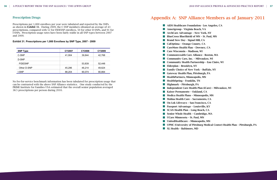### Prescription Drugs

Prescriptions per 1,000 enrollees per year were tabulated and reported by the SNPs as shown in Exhibit 31. During 2009, the C-SNP members obtained an average of 43 as shown in Exhibit 31. Buting 2009, the C BM intermeters obtained an average of 15 per seriptions, compared with 52 for FIDESNP enrollees, 50 for other D-SNPs, and 91 for I-SNPs. Prescription usage rates have been fairly stable in all SNP types between 2007 and 2009. and  $2009$  for  $\frac{1}{2}$  for  $\frac{1}{2}$  for  $\frac{1}{2}$  for  $\frac{1}{2}$  for  $\frac{1}{2}$  for  $\frac{1}{2}$  for  $\frac{1}{2}$  for  $\frac{1}{2}$  for  $\frac{1}{2}$  for  $\frac{1}{2}$  for  $\frac{1}{2}$  for  $\frac{1}{2}$  for  $\frac{1}{2}$  for  $\frac{1}{2}$  for  $\frac{1}{2}$ 

# Appendix A: SNP Alliance Members as of January 2011

**AIDS Healthcare Foundation - Los Angeles, CA** Amerigroup - Virginia Beach, VA **ArchCare Advantage - New York, NY BlueCross BlueShield of MN - St. Paul, MN Brand New Day - Signal Hill, CA CalOptima - Orange County, CA CareMore Health Plan - Downey, CA Care Wisconsin - Madison, WI Commonwealth Care Alliance - Boston, MA Community Care, Inc. - Milwaukee, WI** ■ Community Health Partnership – Eau Claire, WI Elderplan – Brooklyn, NY **Family Choice of New York - Buffalo, NY Gateway Health Plan, Pittsburgh, PA HealthPartners, Minneapolis, MN**  $\blacksquare$  HealthSpring – Franklin, TN **Highmark - Pittsburgh, PA** Independent Care Health Plan (iCare) – Milwaukee, WI Kaiser Permanente - Oakland, CA  $\blacksquare$  Medica Health Plans - Minneapolis, MN **Molina Health Care - Sacramento, CA** ■ On Lok Lifeways – San Francisco, CA **Passport Advantage - Louisville, KY SCAN Health Plan - Long Beach, CA** ■ Senior Whole Health – Cambridge, MA **UCare Minnesota - St. Paul, MN** UnitedHealthcare – Minneapolis, MN UPMC (University of Pittsburg Medical Center) Health Plan – Pittsburgh, PA **XL Health - Baltimore, MD** 

No fee-for-service benchmark information has been tabulated for prescription usage that can be contrasted with the above SNP Alliance statistics. One study conducted by the PRIME Institute for Families USA estimated that the overall senior population averaged 38.5 prescriptions per person during 2010. person during 2010.

#### **Exhibit 31. Prescriptions per 1,000 Enrollees by SNP Type, 2007 - 2009 Exhibit 31. Prescriptions per 1,000 Enrollees by SNP Type 2007 - 2009**

31

| <b>SNP Type</b> | <b>CY2007</b> | CY2008 | CY2009 |
|-----------------|---------------|--------|--------|
| C-SNP           | 41,904        | 39,844 | 42,768 |
| D-SNP           |               |        |        |
| <b>FIDESNP</b>  |               | 53,839 | 52,448 |
| Other D-SNP     | 45,296        | 46,214 | 49,624 |
| I-SNP           | 88,204        | 90,074 | 90,864 |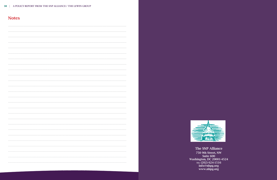| A POLICY REPORT FROM THE SNP ALLIANCE / THE LEWIN GROUP<br>38 |
|---------------------------------------------------------------|
|---------------------------------------------------------------|

# **Notes**



The SNP Alliance 750 9th Street, NW Suite 600<br>Washington, DC 20001-4524<br>TEL (202) 624-1516 info@nhpg.org<br>www.nhpg.org